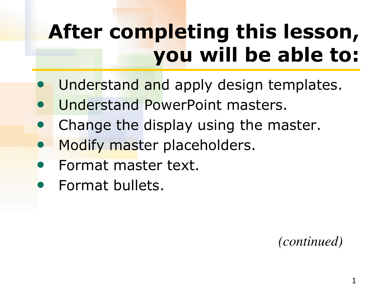# **After completing this lesson, you will be able to:**

- Understand and apply design templates.
- Understand PowerPoint masters.
- Change the display using the master.
- Modify master placeholders.
- Format master text.
- Format bullets.

 *(continued)*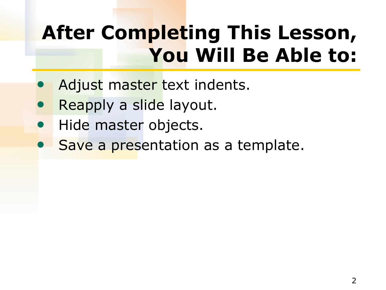### **After Completing This Lesson, You Will Be Able to:**

- Adjust master text indents.
- Reapply a slide layout.
- Hide master objects.
- Save a presentation as a template.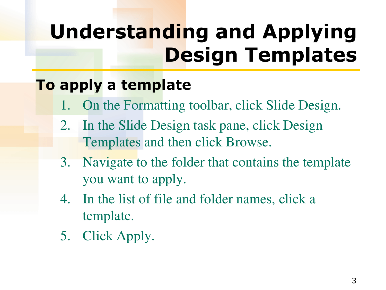# **Understanding and Applying Design Templates**

#### **To apply a template**

- On the Formatting toolbar, click Slide Design.
- 2. In the Slide Design task pane, click Design Templates and then click Browse.
- 3. Navigate to the folder that contains the template you want to apply.
- 4. In the list of file and folder names, click a template.
- 5. Click Apply.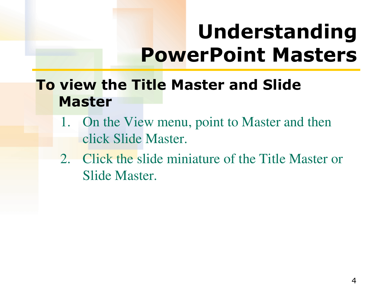### **Understanding PowerPoint Masters**

#### **To view the Title Master and Slide Master**

- 1. On the View menu, point to Master and then click Slide Master.
- 2. Click the slide miniature of the Title Master or Slide Master.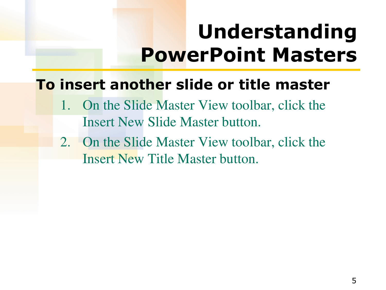## **Understanding PowerPoint Masters**

#### **To insert another slide or title master**

- 1. On the Slide Master View toolbar, click the Insert New Slide Master button.
- 2. On the Slide Master View toolbar, click the Insert New Title Master button.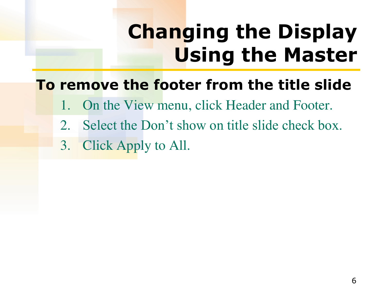# **Changing the Display Using the Master**

#### **To remove the footer from the title slide**

- 1. On the View menu, click Header and Footer.
- 2. Select the Don't show on title slide check box.
- 3. Click Apply to All.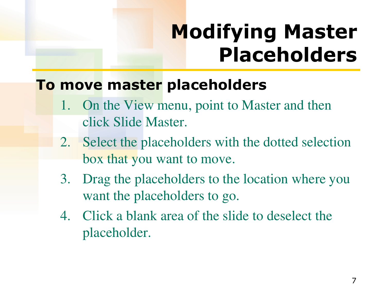## **Modifying Master Placeholders**

#### **To move master placeholders**

- 1. On the View menu, point to Master and then click Slide Master.
- 2. Select the placeholders with the dotted selection box that you want to move.
- 3. Drag the placeholders to the location where you want the placeholders to go.
- 4. Click a blank area of the slide to deselect the placeholder.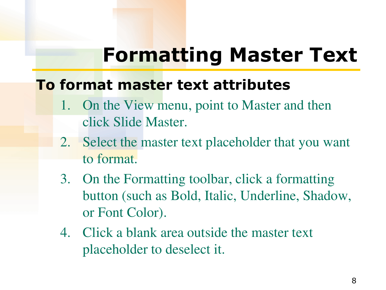#### **Formatting Master Text**

#### **To format master text attributes**

- 1. On the View menu, point to Master and then click Slide Master.
- 2. Select the master text placeholder that you want to format.
- 3. On the Formatting toolbar, click a formatting button (such as Bold, Italic, Underline, Shadow, or Font Color).
- 4. Click a blank area outside the master text placeholder to deselect it.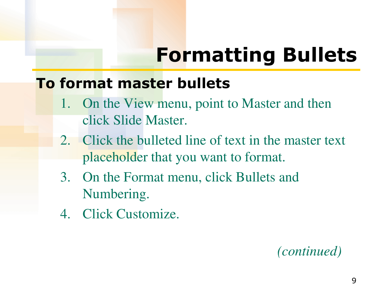#### **To format master bullets**

- 1. On the View menu, point to Master and then click Slide Master.
- 2. Click the bulleted line of text in the master text placeholder that you want to format.
- 3. On the Format menu, click Bullets and Numbering.
- 4. Click Customize.

#### *(continued)*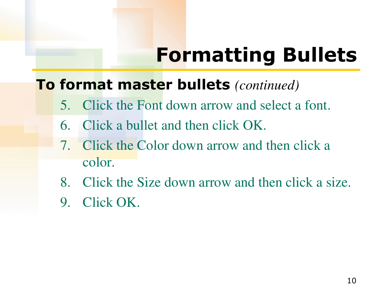#### **To format master bullets** *(continued)*

- 5. Click the Font down arrow and select a font.
- 6. Click a bullet and then click OK.
- 7. Click the Color down arrow and then click a color.
- 8. Click the Size down arrow and then click a size.
- 9. Click OK.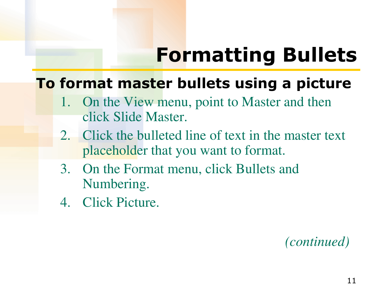#### **To format master bullets using a picture**

- 1. On the View menu, point to Master and then click Slide Master.
- 2. Click the bulleted line of text in the master text placeholder that you want to format.
- 3. On the Format menu, click Bullets and Numbering.
- 4. Click Picture.

 *(continued)*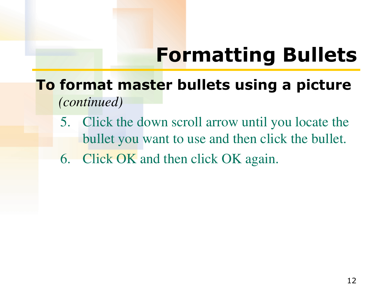- **To format master bullets using a picture**  *(continued)*
	- 5. Click the down scroll arrow until you locate the bullet you want to use and then click the bullet.
	- 6. Click OK and then click OK again.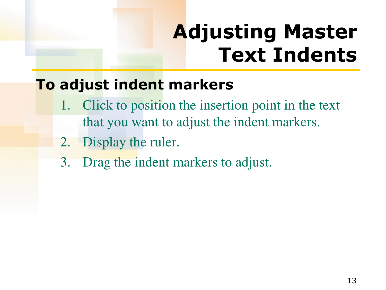## **Adjusting Master Text Indents**

#### **To adjust indent markers**

- 1. Click to position the insertion point in the text that you want to adjust the indent markers.
- 2. Display the ruler.
- 3. Drag the indent markers to adjust.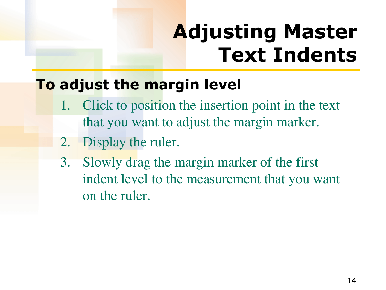## **Adjusting Master Text Indents**

#### **To adjust the margin level**

- Click to position the insertion point in the text that you want to adjust the margin marker.
- 2. Display the ruler.
- 3. Slowly drag the margin marker of the first indent level to the measurement that you want on the ruler.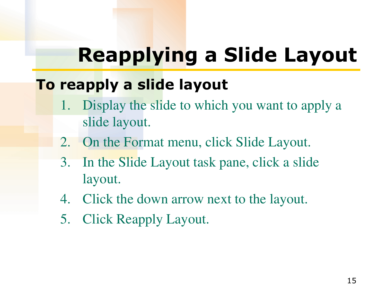# **Reapplying a Slide Layout**

#### **To reapply a slide layout**

- 1. Display the slide to which you want to apply a slide layout.
- 2. On the Format menu, click Slide Layout.
- 3. In the Slide Layout task pane, click a slide layout.
- 4. Click the down arrow next to the layout.
- 5. Click Reapply Layout.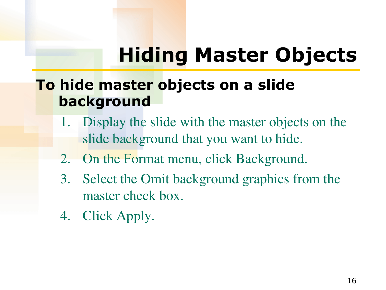# **Hiding Master Objects**

#### **To hide master objects on a slide background**

- 1. Display the slide with the master objects on the slide background that you want to hide.
- 2. On the Format menu, click Background.
- 3. Select the Omit background graphics from the master check box.
- 4. Click Apply.